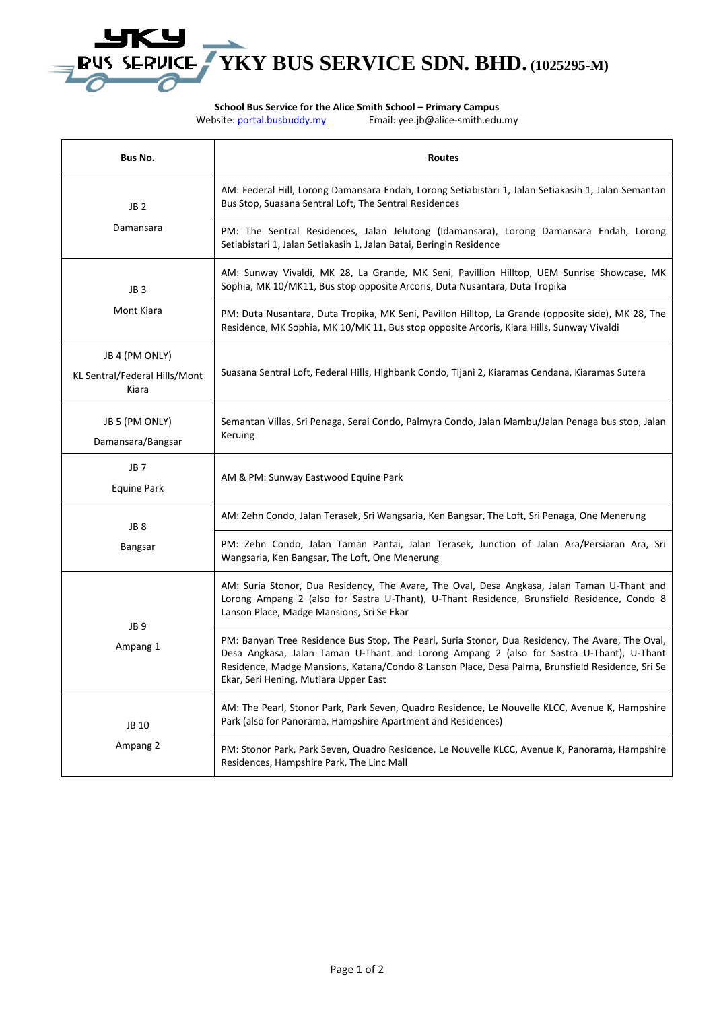# **BUS SERVICE TYKY BUS SERVICE SDN. BHD.** (1025295-M)

**School Bus Service for the Alice Smith School – Primary Campus<br>Website: <u>portal.busbuddy.my</u> Email: yee.jb@alice-smith.edu** 

Email: yee.jb@alice-smith.edu.my

| <b>Bus No.</b>                                           | Routes                                                                                                                                                                                                                                                                                                                                    |
|----------------------------------------------------------|-------------------------------------------------------------------------------------------------------------------------------------------------------------------------------------------------------------------------------------------------------------------------------------------------------------------------------------------|
| JB 2<br>Damansara                                        | AM: Federal Hill, Lorong Damansara Endah, Lorong Setiabistari 1, Jalan Setiakasih 1, Jalan Semantan<br>Bus Stop, Suasana Sentral Loft, The Sentral Residences                                                                                                                                                                             |
|                                                          | PM: The Sentral Residences, Jalan Jelutong (Idamansara), Lorong Damansara Endah, Lorong<br>Setiabistari 1, Jalan Setiakasih 1, Jalan Batai, Beringin Residence                                                                                                                                                                            |
| JB <sub>3</sub><br>Mont Kiara                            | AM: Sunway Vivaldi, MK 28, La Grande, MK Seni, Pavillion Hilltop, UEM Sunrise Showcase, MK<br>Sophia, MK 10/MK11, Bus stop opposite Arcoris, Duta Nusantara, Duta Tropika                                                                                                                                                                 |
|                                                          | PM: Duta Nusantara, Duta Tropika, MK Seni, Pavillon Hilltop, La Grande (opposite side), MK 28, The<br>Residence, MK Sophia, MK 10/MK 11, Bus stop opposite Arcoris, Kiara Hills, Sunway Vivaldi                                                                                                                                           |
| JB 4 (PM ONLY)<br>KL Sentral/Federal Hills/Mont<br>Kiara | Suasana Sentral Loft, Federal Hills, Highbank Condo, Tijani 2, Kiaramas Cendana, Kiaramas Sutera                                                                                                                                                                                                                                          |
| JB 5 (PM ONLY)<br>Damansara/Bangsar                      | Semantan Villas, Sri Penaga, Serai Condo, Palmyra Condo, Jalan Mambu/Jalan Penaga bus stop, Jalan<br>Keruing                                                                                                                                                                                                                              |
| JB 7<br>Equine Park                                      | AM & PM: Sunway Eastwood Equine Park                                                                                                                                                                                                                                                                                                      |
| JB <sub>8</sub><br>Bangsar                               | AM: Zehn Condo, Jalan Terasek, Sri Wangsaria, Ken Bangsar, The Loft, Sri Penaga, One Menerung                                                                                                                                                                                                                                             |
|                                                          | PM: Zehn Condo, Jalan Taman Pantai, Jalan Terasek, Junction of Jalan Ara/Persiaran Ara, Sri<br>Wangsaria, Ken Bangsar, The Loft, One Menerung                                                                                                                                                                                             |
| JB <sub>9</sub><br>Ampang 1                              | AM: Suria Stonor, Dua Residency, The Avare, The Oval, Desa Angkasa, Jalan Taman U-Thant and<br>Lorong Ampang 2 (also for Sastra U-Thant), U-Thant Residence, Brunsfield Residence, Condo 8<br>Lanson Place, Madge Mansions, Sri Se Ekar                                                                                                   |
|                                                          | PM: Banyan Tree Residence Bus Stop, The Pearl, Suria Stonor, Dua Residency, The Avare, The Oval,<br>Desa Angkasa, Jalan Taman U-Thant and Lorong Ampang 2 (also for Sastra U-Thant), U-Thant<br>Residence, Madge Mansions, Katana/Condo 8 Lanson Place, Desa Palma, Brunsfield Residence, Sri Se<br>Ekar, Seri Hening, Mutiara Upper East |
| JB 10<br>Ampang 2                                        | AM: The Pearl, Stonor Park, Park Seven, Quadro Residence, Le Nouvelle KLCC, Avenue K, Hampshire<br>Park (also for Panorama, Hampshire Apartment and Residences)                                                                                                                                                                           |
|                                                          | PM: Stonor Park, Park Seven, Quadro Residence, Le Nouvelle KLCC, Avenue K, Panorama, Hampshire<br>Residences, Hampshire Park, The Linc Mall                                                                                                                                                                                               |